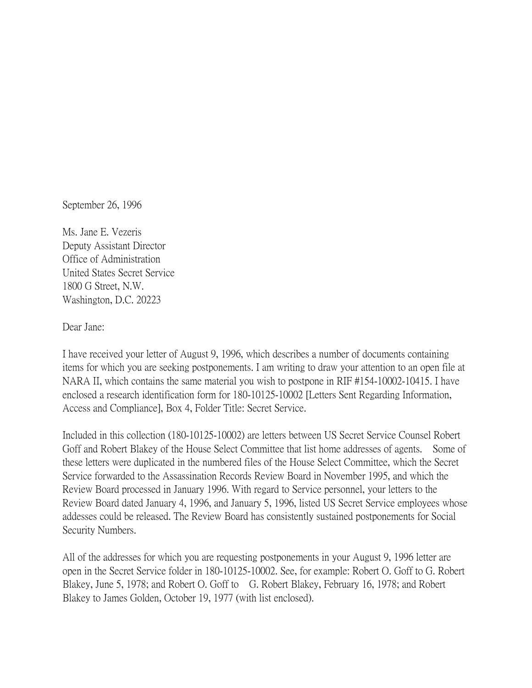September 26, 1996

Ms. Jane E. Vezeris Deputy Assistant Director Office of Administration United States Secret Service 1800 G Street, N.W. Washington, D.C. 20223

Dear Jane:

I have received your letter of August 9, 1996, which describes a number of documents containing items for which you are seeking postponements. I am writing to draw your attention to an open file at NARA II, which contains the same material you wish to postpone in RIF #154-10002-10415. I have enclosed a research identification form for 180-10125-10002 [Letters Sent Regarding Information, Access and Compliance], Box 4, Folder Title: Secret Service.

Included in this collection (180-10125-10002) are letters between US Secret Service Counsel Robert Goff and Robert Blakey of the House Select Committee that list home addresses of agents. Some of these letters were duplicated in the numbered files of the House Select Committee, which the Secret Service forwarded to the Assassination Records Review Board in November 1995, and which the Review Board processed in January 1996. With regard to Service personnel, your letters to the Review Board dated January 4, 1996, and January 5, 1996, listed US Secret Service employees whose addesses could be released. The Review Board has consistently sustained postponements for Social Security Numbers.

All of the addresses for which you are requesting postponements in your August 9, 1996 letter are open in the Secret Service folder in 180-10125-10002. See, for example: Robert O. Goff to G. Robert Blakey, June 5, 1978; and Robert O. Goff to G. Robert Blakey, February 16, 1978; and Robert Blakey to James Golden, October 19, 1977 (with list enclosed).